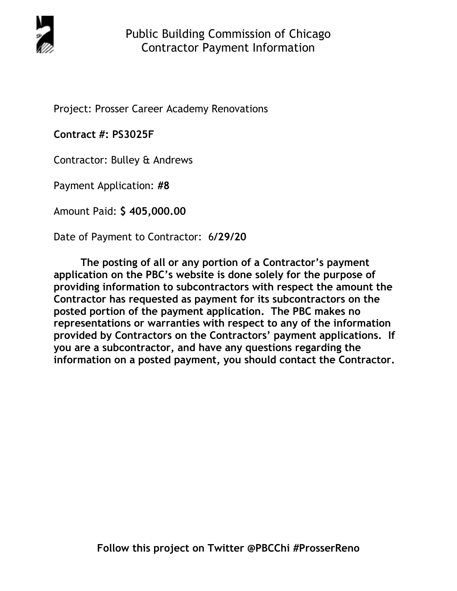

Project: Prosser Career Academy Renovations

**Contract #: PS3025F** 

Contractor: Bulley & Andrews

Payment Application: **#8** 

Amount Paid: **\$ 405,000.00** 

Date of Payment to Contractor: 6**/29/20** 

**The posting of all or any portion of a Contractor's payment application on the PBC's website is done solely for the purpose of providing information to subcontractors with respect the amount the Contractor has requested as payment for its subcontractors on the posted portion of the payment application. The PBC makes no representations or warranties with respect to any of the information provided by Contractors on the Contractors' payment applications. If you are a subcontractor, and have any questions regarding the information on a posted payment, you should contact the Contractor.**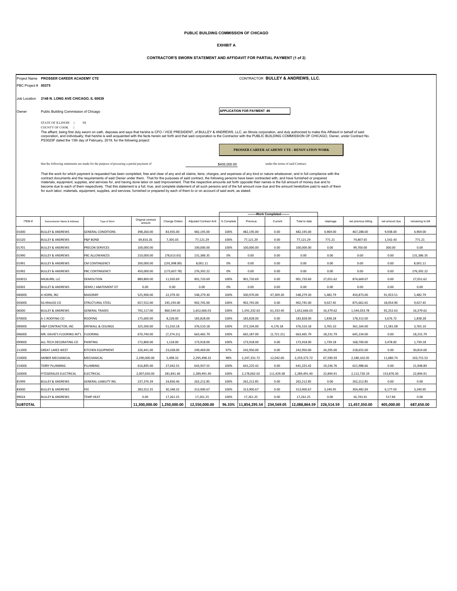## **PUBLIC BUILDING COMMISSION OF CHICAGO**

## **EXHIBIT A**

## **CONTRACTOR'S SWORN STATEMENT AND AFFIDAVIT FOR PARTIAL PAYMENT (1 of 2)**

|                     | Project Name PROSSER CAREER ACADEMY CTE                                                                                                                                                                                                                                                                                                                                                     | CONTRACTOR BULLEY & ANDREWS, LLC.            |                             |               |                       |                            |               |            |               |            |                      |                |                   |
|---------------------|---------------------------------------------------------------------------------------------------------------------------------------------------------------------------------------------------------------------------------------------------------------------------------------------------------------------------------------------------------------------------------------------|----------------------------------------------|-----------------------------|---------------|-----------------------|----------------------------|---------------|------------|---------------|------------|----------------------|----------------|-------------------|
| PBC Project # 05375 |                                                                                                                                                                                                                                                                                                                                                                                             |                                              |                             |               |                       |                            |               |            |               |            |                      |                |                   |
|                     |                                                                                                                                                                                                                                                                                                                                                                                             |                                              |                             |               |                       |                            |               |            |               |            |                      |                |                   |
|                     | Job Location 2148 N. LONG AVE CHICAGO, IL 60639                                                                                                                                                                                                                                                                                                                                             |                                              |                             |               |                       |                            |               |            |               |            |                      |                |                   |
| Owner               |                                                                                                                                                                                                                                                                                                                                                                                             | Public Building Commission of Chicago        |                             |               |                       | APPLICATION FOR PAYMENT #8 |               |            |               |            |                      |                |                   |
|                     | STATE OF ILLINOIS }                                                                                                                                                                                                                                                                                                                                                                         | <b>SS</b>                                    |                             |               |                       |                            |               |            |               |            |                      |                |                   |
|                     | COUNTY OF COOK   }<br>The affiant, being first duly sworn on oath, deposes and says that he/she is CFO / VICE PRESIDENT, of BULLEY & ANDREWS, LLC, an Illinois corporation, and duly authorized to make this Affidavit in behalf of said                                                                                                                                                    |                                              |                             |               |                       |                            |               |            |               |            |                      |                |                   |
|                     | corporation, and individually; that he/she is well acquainted with the facts herein set forth and that said corporation is the Contractor with the PUBLIC BUILDING COMMISSION OF CHICAGO, Owner, under Contract No.<br>PS3025F dated the 13th day of February, 2019, for the following project:                                                                                             |                                              |                             |               |                       |                            |               |            |               |            |                      |                |                   |
|                     |                                                                                                                                                                                                                                                                                                                                                                                             | PROSSER CAREER ACADEMY CTE - RENOVATION WORK |                             |               |                       |                            |               |            |               |            |                      |                |                   |
|                     |                                                                                                                                                                                                                                                                                                                                                                                             |                                              |                             |               |                       |                            |               |            |               |            |                      |                |                   |
|                     | that the following statements are made for the purpose of procuring a partial payment of<br>under the terms of said Contract:<br>\$405,000.00                                                                                                                                                                                                                                               |                                              |                             |               |                       |                            |               |            |               |            |                      |                |                   |
|                     | That the work for which payment is requested has been completed, free and clear of any and all claims, liens, charges, and expenses of any kind or nature whatsoever, and in full compliance with the                                                                                                                                                                                       |                                              |                             |               |                       |                            |               |            |               |            |                      |                |                   |
|                     | contract documents and the requirements of said Owner under them. That for the purposes of said contract, the following persons have been contracted with, and have furnished or prepared<br>materials, equipment, supplies, and services for, and having done labor on said improvement. That the respective amounts set forth opposite their names is the full amount of money due and to |                                              |                             |               |                       |                            |               |            |               |            |                      |                |                   |
|                     | become due to each of them respectively. That this statement is a full, true, and complete statement of all such persons and of the full amount now due and the amount heretofore paid to each of them<br>for such labor, materials, equipment, supplies, and services, furnished or prepared by each of them to or on account of said work, as stated:                                     |                                              |                             |               |                       |                            |               |            |               |            |                      |                |                   |
|                     |                                                                                                                                                                                                                                                                                                                                                                                             |                                              |                             |               |                       |                            |               |            |               |            |                      |                |                   |
|                     |                                                                                                                                                                                                                                                                                                                                                                                             |                                              |                             |               |                       |                            |               |            |               |            |                      |                |                   |
|                     |                                                                                                                                                                                                                                                                                                                                                                                             | --Work Completed--                           |                             |               |                       |                            |               |            |               |            |                      |                |                   |
| ITEM#               | Subcontractor Name & Address                                                                                                                                                                                                                                                                                                                                                                | Type of Work                                 | Original contract<br>amount | Change Orders | Adjusted Contract Amt | % Complete                 | Previous      | Current    | Total to date | retainage  | net previous billing | net amount due | remaining to bill |
| 01000               | <b>BULLEY &amp; ANDREWS</b>                                                                                                                                                                                                                                                                                                                                                                 | <b>GENERAL CONDITIONS</b>                    | 398,260.00                  | 83,935.00     | 482,195.00            | 100%                       | 482,195.00    | 0.00       | 482,195.00    | 4,969.00   | 467,288.00           | 9,938.00       | 4,969.00          |
| 01520               | <b>BULLEY &amp; ANDREWS</b>                                                                                                                                                                                                                                                                                                                                                                 | P&P BOND                                     | 69,816.26                   | 7,305.03      | 77,121.29             | 100%                       | 77,121.29     | 0.00       | 77,121.29     | 771.21     | 74,807.65            | 1,542.43       | 771.21            |
| 01701               | <b>BULLEY &amp; ANDREWS</b>                                                                                                                                                                                                                                                                                                                                                                 | PRECON SERVICES                              | 100,000.00                  |               | 100,000.00            | 100%                       | 100,000.00    | 0.00       | 100,000.00    | 0.00       | 99,700.00            | 300.00         | 0.00              |
| 01990               | <b>BULLEY &amp; ANDREWS</b>                                                                                                                                                                                                                                                                                                                                                                 | PBC ALLOWANCES                               | 210,000.00                  | (78, 613.65)  | 131,386.35            | 0%                         | 0.00          | 0.00       | 0.00          | 0.00       | 0.00                 | 0.00           | 131,386.35        |
| 01991               | <b>BULLEY &amp; ANDREWS</b>                                                                                                                                                                                                                                                                                                                                                                 | CM CONTINGENCY                               | 200,000.00                  | (191, 998.89) | 8,001.11              | 0%                         | 0.00          | 0.00       | 0.00          | 0.00       | 0.00                 | 0.00           | 8,001.11          |
| 01992               | <b>BULLEY &amp; ANDREWS</b>                                                                                                                                                                                                                                                                                                                                                                 | PBC CONTINGENCY                              | 450,000.00                  | (173, 607.78) | 276,392.22            | 0%                         | 0.00          | 0.00       | 0.00          | 0.00       | 0.00                 | 0.00           | 276,392.22        |
| 02001S              | MILBURN, LLC                                                                                                                                                                                                                                                                                                                                                                                | DEMOLITION                                   | 889,800.00                  | 11,920.69     | 901,720.69            | 100%                       | 901,720.69    | 0.00       | 901,720.69    | 27,051.62  | 874,669.07           | 0.00           | 27,051.62         |
| 02002               | <b>BULLEY &amp; ANDREWS</b>                                                                                                                                                                                                                                                                                                                                                                 | DEMO / ABATEMENT OT                          | 0.00                        | 0.00          | 0.00                  | 0%                         | 0.00          | 0.00       | 0.00          | 0.00       | 0.00                 | 0.00           | 0.00              |
| 04000S              | A HORN, INC                                                                                                                                                                                                                                                                                                                                                                                 | MASONRY                                      | 525,900.00                  | 22,379.30     | 548,279.30            | 100%                       | 500,970.00    | 47,309.30  | 548,279.30    | 5,482.79   | 450,873.00           | 91,923.51      | 5,482.79          |
| 05000S              | <b>SG KRAUSS CO</b>                                                                                                                                                                                                                                                                                                                                                                         | STRUCTURAL STEEL                             | 657,552.00                  | 245,193.00    | 902,745.00            | 100%                       | 902,745.00    | 0.00       | 902,745.00    | 9,027.45   | 875,662.65           | 18,054.90      | 9,027.45          |
| 06000               | <b>BULLEY &amp; ANDREWS</b>                                                                                                                                                                                                                                                                                                                                                                 | <b>GENERAL TRADES</b>                        | 792,117.00                  | 860,549.03    | 1,652,666.03          | 100%                       | 1,591,332.63  | 61,333.40  | 1,652,666.03  | 16,379.62  | 1,544,033.78         | 92,252.63      | 16,379.62         |
| 07000S              | A-1 ROOFING CO                                                                                                                                                                                                                                                                                                                                                                              | <b>ROOFING</b>                               | 175,600.00                  | 8,228.00      | 183,828.00            | 100%                       | 183,828.00    | 0.00       | 183,828.00    | 1,838.28   | 178,313.00           | 3,676.72       | 1,838.28          |
| 09000S              | H&P CONTRACTOR, INC                                                                                                                                                                                                                                                                                                                                                                         | DRYWALL & CEILINGS                           | 325,500.00                  | 51,010.18     | 376,510.18            | 100%                       | 372,334.00    | 4,176.18   | 376,510.18    | 3,765.10   | 361,164.00           | 11,581.08      | 3,765.10          |
| 09600S              | MR. DAVID'S FLOORING INT'L                                                                                                                                                                                                                                                                                                                                                                  | <b>FLOORING</b>                              | 670,740.00                  | (7, 274.21)   | 663,465.79            | 100%                       | 665,187.00    | (1,721.21) | 663,465.79    | 18,231.79  | 645,234.00           | 0.00           | 18,231.79         |
| 09900S              | ALL-TECH DECORATING CO                                                                                                                                                                                                                                                                                                                                                                      | PAINTING                                     | 172,800.00                  | 1,118.00      | 173,918.00            | 100%                       | 173,918.00    | 0.00       | 173,918.00    | 1,739.18   | 168,700.00           | 3,478.82       | 1,739.18          |
| 11100S              | <b>GREAT LAKES WEST</b>                                                                                                                                                                                                                                                                                                                                                                     | KITCHEN EQUIPMENT                            | 226,441.00                  | 23,028.00     | 249,469.00            | 97%                        | 242,950.00    | 0.00       | 242,950.00    | 24,295.00  | 218,655.00           | 0.00           | 30,814.00         |
| 15000S              | AMBER MECHANICAL                                                                                                                                                                                                                                                                                                                                                                            | MECHANICAL                                   | 2,290,000.00                | 5,498.32      | 2,295,498.32          | 98%                        | 2,247,331.72  | 12,042.00  | 2,259,373.72  | 67,590.93  | 2,180,102.05         | 11,680.74      | 103,715.53        |
| 15400S              | TERRY PLUMBING                                                                                                                                                                                                                                                                                                                                                                              | PLUMBING                                     | 616,895.00                  | 27,042.55     | 643,937.55            | 100%                       | 641,225.42    | 0.00       | 641,225.42    | 19,236.76  | 621,988.66           | 0.00           | 21,948.89         |
| 16000S              | FITZGERALDS ELECTRICAL                                                                                                                                                                                                                                                                                                                                                                      | ELECTRICAL                                   | 2,007,650.00                | 281,841.40    | 2,289,491.40          | 100%                       | 2,178,062.02  | 111,429.38 | 2,289,491.40  | 22,894.91  | 2,112,720.19         | 153,876.30     | 22,894.91         |
| 81999               | <b>BULLEY &amp; ANDREWS</b>                                                                                                                                                                                                                                                                                                                                                                 | GENERAL LIABILITY INS.                       | 237,376.39                  | 24,836.46     | 262,212.85            | 100%                       | 262,212.85    | 0.00       | 262,212.85    | 0.00       | 262,212.85           | 0.00           | 0.00              |
| 83000               | <b>BULLEY &amp; ANDREWS</b>                                                                                                                                                                                                                                                                                                                                                                 | FEE                                          | 283,552.35                  | 30,348.32     | 313,900.67            | 100%                       | 313,900.67    | 0.00       | 313,900.67    | 3,240.95   | 304,482.69           | 6,177.03       | 3,240.95          |
| 99024               | <b>BULLEY &amp; ANDREWS</b>                                                                                                                                                                                                                                                                                                                                                                 | <b>TEMP HEAT</b>                             | 0.00                        | 17,261.25     | 17,261.25             | 100%                       | 17,261.25     | 0.00       | 17,261.25     | 0.00       | 16,743.41            | 517.84         | 0.00              |
| <b>SUBTOTAL</b>     |                                                                                                                                                                                                                                                                                                                                                                                             |                                              | 11,300,000.00               | 1.250.000.00  | 12,550,000.00         | 96.33%                     | 11,854,295.54 | 234,569.05 | 12,088,864.59 | 226,514.59 | 11,457,350.00        | 405,000.00     | 687,650.00        |